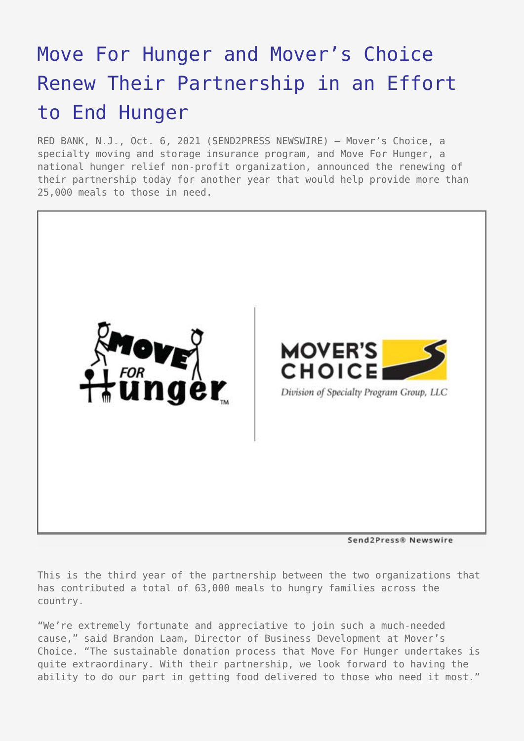## [Move For Hunger and Mover's Choice](https://www.send2press.com/wire/move-for-hunger-and-movers-choice-renew-their-partnership-in-an-effort-to-end-hunger/) [Renew Their Partnership in an Effort](https://www.send2press.com/wire/move-for-hunger-and-movers-choice-renew-their-partnership-in-an-effort-to-end-hunger/) [to End Hunger](https://www.send2press.com/wire/move-for-hunger-and-movers-choice-renew-their-partnership-in-an-effort-to-end-hunger/)

RED BANK, N.J., Oct. 6, 2021 (SEND2PRESS NEWSWIRE) — Mover's Choice, a specialty moving and storage insurance program, and Move For Hunger, a national hunger relief non-profit organization, announced the renewing of their partnership today for another year that would help provide more than 25,000 meals to those in need.



Send2Press® Newswire

This is the third year of the partnership between the two organizations that has contributed a total of 63,000 meals to hungry families across the country.

"We're extremely fortunate and appreciative to join such a much-needed cause," said Brandon Laam, Director of Business Development at Mover's Choice. "The sustainable donation process that Move For Hunger undertakes is quite extraordinary. With their partnership, we look forward to having the ability to do our part in getting food delivered to those who need it most."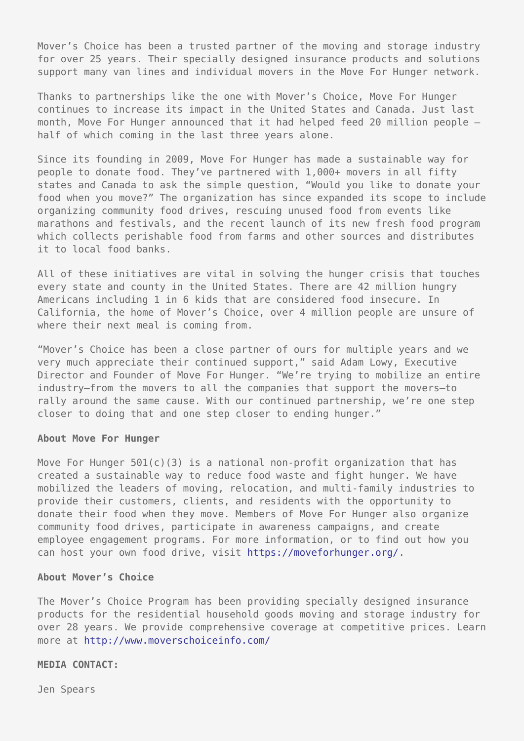Mover's Choice has been a trusted partner of the moving and storage industry for over 25 years. Their specially designed insurance products and solutions support many van lines and individual movers in the Move For Hunger network.

Thanks to partnerships like the one with Mover's Choice, Move For Hunger continues to increase its impact in the United States and Canada. Just last month, Move For Hunger announced that it had helped feed 20 million people – half of which coming in the last three years alone.

Since its founding in 2009, Move For Hunger has made a sustainable way for people to donate food. They've partnered with 1,000+ movers in all fifty states and Canada to ask the simple question, "Would you like to donate your food when you move?" The organization has since expanded its scope to include organizing community food drives, rescuing unused food from events like marathons and festivals, and the recent launch of its new fresh food program which collects perishable food from farms and other sources and distributes it to local food banks.

All of these initiatives are vital in solving the hunger crisis that touches every state and county in the United States. There are 42 million hungry Americans including 1 in 6 kids that are considered food insecure. In California, the home of Mover's Choice, over 4 million people are unsure of where their next meal is coming from.

"Mover's Choice has been a close partner of ours for multiple years and we very much appreciate their continued support," said Adam Lowy, Executive Director and Founder of Move For Hunger. "We're trying to mobilize an entire industry—from the movers to all the companies that support the movers—to rally around the same cause. With our continued partnership, we're one step closer to doing that and one step closer to ending hunger."

## **About Move For Hunger**

Move For Hunger  $501(c)(3)$  is a national non-profit organization that has created a sustainable way to reduce food waste and fight hunger. We have mobilized the leaders of moving, relocation, and multi-family industries to provide their customers, clients, and residents with the opportunity to donate their food when they move. Members of Move For Hunger also organize community food drives, participate in awareness campaigns, and create employee engagement programs. For more information, or to find out how you can host your own food drive, visit <https://moveforhunger.org/>.

## **About Mover's Choice**

The Mover's Choice Program has been providing specially designed insurance products for the residential household goods moving and storage industry for over 28 years. We provide comprehensive coverage at competitive prices. Learn more at<http://www.moverschoiceinfo.com/>

## **MEDIA CONTACT:**

Jen Spears